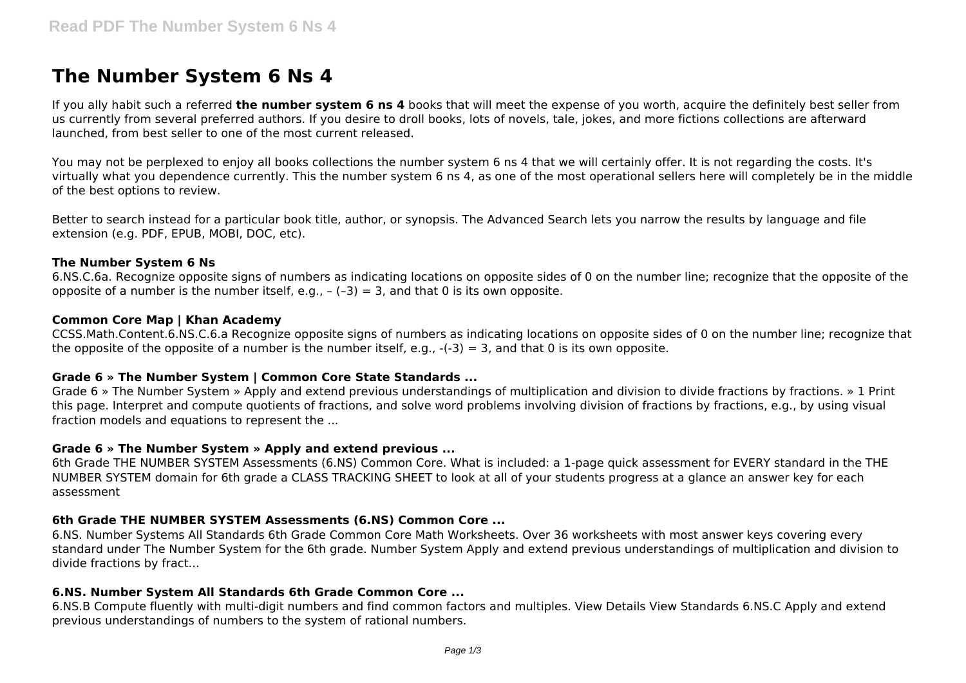# **The Number System 6 Ns 4**

If you ally habit such a referred **the number system 6 ns 4** books that will meet the expense of you worth, acquire the definitely best seller from us currently from several preferred authors. If you desire to droll books, lots of novels, tale, jokes, and more fictions collections are afterward launched, from best seller to one of the most current released.

You may not be perplexed to enjoy all books collections the number system 6 ns 4 that we will certainly offer. It is not regarding the costs. It's virtually what you dependence currently. This the number system 6 ns 4, as one of the most operational sellers here will completely be in the middle of the best options to review.

Better to search instead for a particular book title, author, or synopsis. The Advanced Search lets you narrow the results by language and file extension (e.g. PDF, EPUB, MOBI, DOC, etc).

## **The Number System 6 Ns**

6.NS.C.6a. Recognize opposite signs of numbers as indicating locations on opposite sides of 0 on the number line; recognize that the opposite of the opposite of a number is the number itself, e.g.,  $-(-3) = 3$ , and that 0 is its own opposite.

#### **Common Core Map | Khan Academy**

CCSS.Math.Content.6.NS.C.6.a Recognize opposite signs of numbers as indicating locations on opposite sides of 0 on the number line; recognize that the opposite of the opposite of a number is the number itself, e.g.,  $-(-3) = 3$ , and that 0 is its own opposite.

## **Grade 6 » The Number System | Common Core State Standards ...**

Grade 6 » The Number System » Apply and extend previous understandings of multiplication and division to divide fractions by fractions. » 1 Print this page. Interpret and compute quotients of fractions, and solve word problems involving division of fractions by fractions, e.g., by using visual fraction models and equations to represent the ...

## **Grade 6 » The Number System » Apply and extend previous ...**

6th Grade THE NUMBER SYSTEM Assessments (6.NS) Common Core. What is included: a 1-page quick assessment for EVERY standard in the THE NUMBER SYSTEM domain for 6th grade a CLASS TRACKING SHEET to look at all of your students progress at a glance an answer key for each assessment

## **6th Grade THE NUMBER SYSTEM Assessments (6.NS) Common Core ...**

6.NS. Number Systems All Standards 6th Grade Common Core Math Worksheets. Over 36 worksheets with most answer keys covering every standard under The Number System for the 6th grade. Number System Apply and extend previous understandings of multiplication and division to divide fractions by fract...

## **6.NS. Number System All Standards 6th Grade Common Core ...**

6.NS.B Compute fluently with multi-digit numbers and find common factors and multiples. View Details View Standards 6.NS.C Apply and extend previous understandings of numbers to the system of rational numbers.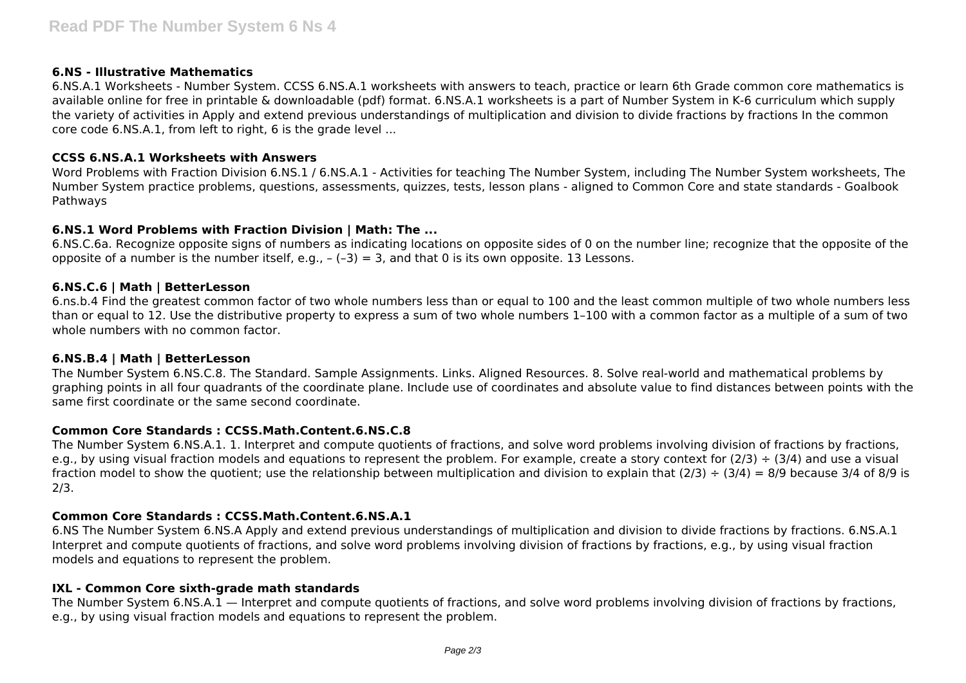## **6.NS - Illustrative Mathematics**

6.NS.A.1 Worksheets - Number System. CCSS 6.NS.A.1 worksheets with answers to teach, practice or learn 6th Grade common core mathematics is available online for free in printable & downloadable (pdf) format. 6.NS.A.1 worksheets is a part of Number System in K-6 curriculum which supply the variety of activities in Apply and extend previous understandings of multiplication and division to divide fractions by fractions In the common core code 6.NS.A.1, from left to right, 6 is the grade level ...

## **CCSS 6.NS.A.1 Worksheets with Answers**

Word Problems with Fraction Division 6.NS.1 / 6.NS.A.1 - Activities for teaching The Number System, including The Number System worksheets, The Number System practice problems, questions, assessments, quizzes, tests, lesson plans - aligned to Common Core and state standards - Goalbook Pathways

## **6.NS.1 Word Problems with Fraction Division | Math: The ...**

6.NS.C.6a. Recognize opposite signs of numbers as indicating locations on opposite sides of 0 on the number line; recognize that the opposite of the opposite of a number is the number itself, e.g.,  $-(-3) = 3$ , and that 0 is its own opposite. 13 Lessons.

## **6.NS.C.6 | Math | BetterLesson**

6.ns.b.4 Find the greatest common factor of two whole numbers less than or equal to 100 and the least common multiple of two whole numbers less than or equal to 12. Use the distributive property to express a sum of two whole numbers 1–100 with a common factor as a multiple of a sum of two whole numbers with no common factor.

## **6.NS.B.4 | Math | BetterLesson**

The Number System 6.NS.C.8. The Standard. Sample Assignments. Links. Aligned Resources. 8. Solve real-world and mathematical problems by graphing points in all four quadrants of the coordinate plane. Include use of coordinates and absolute value to find distances between points with the same first coordinate or the same second coordinate.

# **Common Core Standards : CCSS.Math.Content.6.NS.C.8**

The Number System 6.NS.A.1. 1. Interpret and compute quotients of fractions, and solve word problems involving division of fractions by fractions, e.g., by using visual fraction models and equations to represent the problem. For example, create a story context for  $(2/3) \div (3/4)$  and use a visual fraction model to show the quotient; use the relationship between multiplication and division to explain that  $(2/3) \div (3/4) = 8/9$  because 3/4 of 8/9 is 2/3.

# **Common Core Standards : CCSS.Math.Content.6.NS.A.1**

6.NS The Number System 6.NS.A Apply and extend previous understandings of multiplication and division to divide fractions by fractions. 6.NS.A.1 Interpret and compute quotients of fractions, and solve word problems involving division of fractions by fractions, e.g., by using visual fraction models and equations to represent the problem.

# **IXL - Common Core sixth-grade math standards**

The Number System 6.NS.A.1 — Interpret and compute quotients of fractions, and solve word problems involving division of fractions by fractions, e.g., by using visual fraction models and equations to represent the problem.